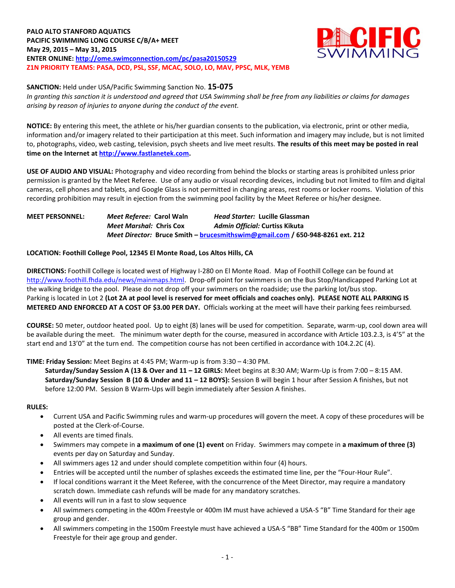

#### **SANCTION:** Held under USA/Pacific Swimming Sanction No. **15-075**

*In granting this sanction it is understood and agreed that USA Swimming shall be free from any liabilities or claims for damages arising by reason of injuries to anyone during the conduct of the event.*

**NOTICE:** By entering this meet, the athlete or his/her guardian consents to the publication, via electronic, print or other media, information and/or imagery related to their participation at this meet. Such information and imagery may include, but is not limited to, photographs, video, web casting, television, psych sheets and live meet results. **The results of this meet may be posted in real time on the Internet a[t http://www.fastlanetek.com.](http://www.fastlanetek.com/)**

**USE OF AUDIO AND VISUAL:** Photography and video recording from behind the blocks or starting areas is prohibited unless prior permission is granted by the Meet Referee. Use of any audio or visual recording devices, including but not limited to film and digital cameras, cell phones and tablets, and Google Glass is not permitted in changing areas, rest rooms or locker rooms. Violation of this recording prohibition may result in ejection from the swimming pool facility by the Meet Referee or his/her designee.

# **MEET PERSONNEL:** *Meet Referee:* **Carol Waln** *Head Starter:* **Lucille Glassman** *Meet Marshal:* **Chris Cox** *Admin Official:* **Curtiss Kikuta** *Meet Director:* **Bruce Smith – [brucesmithswim@gmail.com](mailto:brucesmithswim@gmail.com) / 650-948-8261 ext. 212**

# **LOCATION: Foothill College Pool, 12345 El Monte Road, Los Altos Hills, CA**

**DIRECTIONS:** Foothill College is located west of Highway I-280 on El Monte Road. Map of Foothill College can be found at [http://www.foothill.fhda.edu/news/mainmaps.html.](http://www.foothill.fhda.edu/news/mainmaps.html) Drop-off point for swimmers is on the Bus Stop/Handicapped Parking Lot at the walking bridge to the pool. Please do not drop off your swimmers on the roadside; use the parking lot/bus stop. Parking is located in Lot 2 **(Lot 2A at pool level is reserved for meet officials and coaches only). PLEASE NOTE ALL PARKING IS METERED AND ENFORCED AT A COST OF \$3.00 PER DAY.** Officials working at the meet will have their parking fees reimbursed.

**COURSE:** 50 meter, outdoor heated pool. Up to eight (8) lanes will be used for competition. Separate, warm-up, cool down area will be available during the meet. The minimum water depth for the course, measured in accordance with Article 103.2.3, is 4'5" at the start end and 13'0" at the turn end. The competition course has not been certified in accordance with 104.2.2C (4).

## **TIME: Friday Session:** Meet Begins at 4:45 PM; Warm-up is from 3:30 – 4:30 PM.

**Saturday/Sunday Session A (13 & Over and 11 – 12 GIRLS:** Meet begins at 8:30 AM; Warm-Up is from 7:00 – 8:15 AM. **Saturday/Sunday Session B (10 & Under and 11 – 12 BOYS):** Session B will begin 1 hour after Session A finishes, but not before 12:00 PM. Session B Warm-Ups will begin immediately after Session A finishes.

**RULES:**

- Current USA and Pacific Swimming rules and warm-up procedures will govern the meet. A copy of these procedures will be posted at the Clerk-of-Course.
- All events are timed finals.
- Swimmers may compete in **a maximum of one (1) event** on Friday. Swimmers may compete in **a maximum of three (3)** events per day on Saturday and Sunday.
- All swimmers ages 12 and under should complete competition within four (4) hours.
- Entries will be accepted until the number of splashes exceeds the estimated time line, per the "Four-Hour Rule".
- If local conditions warrant it the Meet Referee, with the concurrence of the Meet Director, may require a mandatory scratch down. Immediate cash refunds will be made for any mandatory scratches.
- All events will run in a fast to slow sequence
- All swimmers competing in the 400m Freestyle or 400m IM must have achieved a USA-S "B" Time Standard for their age group and gender.
- All swimmers competing in the 1500m Freestyle must have achieved a USA-S "BB" Time Standard for the 400m or 1500m Freestyle for their age group and gender.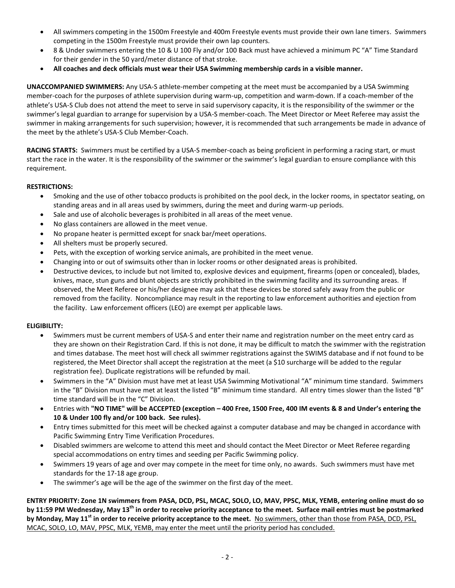- All swimmers competing in the 1500m Freestyle and 400m Freestyle events must provide their own lane timers. Swimmers competing in the 1500m Freestyle must provide their own lap counters.
- 8 & Under swimmers entering the 10 & U 100 Fly and/or 100 Back must have achieved a minimum PC "A" Time Standard for their gender in the 50 yard/meter distance of that stroke.
- **All coaches and deck officials must wear their USA Swimming membership cards in a visible manner.**

**UNACCOMPANIED SWIMMERS:** Any USA-S athlete-member competing at the meet must be accompanied by a USA Swimming member-coach for the purposes of athlete supervision during warm-up, competition and warm-down. If a coach-member of the athlete's USA-S Club does not attend the meet to serve in said supervisory capacity, it is the responsibility of the swimmer or the swimmer's legal guardian to arrange for supervision by a USA-S member-coach. The Meet Director or Meet Referee may assist the swimmer in making arrangements for such supervision; however, it is recommended that such arrangements be made in advance of the meet by the athlete's USA-S Club Member-Coach.

**RACING STARTS:** Swimmers must be certified by a USA-S member-coach as being proficient in performing a racing start, or must start the race in the water. It is the responsibility of the swimmer or the swimmer's legal guardian to ensure compliance with this requirement.

## **RESTRICTIONS:**

- Smoking and the use of other tobacco products is prohibited on the pool deck, in the locker rooms, in spectator seating, on standing areas and in all areas used by swimmers, during the meet and during warm-up periods.
- Sale and use of alcoholic beverages is prohibited in all areas of the meet venue.
- No glass containers are allowed in the meet venue.
- No propane heater is permitted except for snack bar/meet operations.
- All shelters must be properly secured.
- Pets, with the exception of working service animals, are prohibited in the meet venue.
- Changing into or out of swimsuits other than in locker rooms or other designated areas is prohibited.
- Destructive devices, to include but not limited to, explosive devices and equipment, firearms (open or concealed), blades, knives, mace, stun guns and blunt objects are strictly prohibited in the swimming facility and its surrounding areas. If observed, the Meet Referee or his/her designee may ask that these devices be stored safely away from the public or removed from the facility. Noncompliance may result in the reporting to law enforcement authorities and ejection from the facility. Law enforcement officers (LEO) are exempt per applicable laws.

## **ELIGIBILITY:**

- Swimmers must be current members of USA-S and enter their name and registration number on the meet entry card as they are shown on their Registration Card. If this is not done, it may be difficult to match the swimmer with the registration and times database. The meet host will check all swimmer registrations against the SWIMS database and if not found to be registered, the Meet Director shall accept the registration at the meet (a \$10 surcharge will be added to the regular registration fee). Duplicate registrations will be refunded by mail.
- Swimmers in the "A" Division must have met at least USA Swimming Motivational "A" minimum time standard. Swimmers in the "B" Division must have met at least the listed "B" minimum time standard. All entry times slower than the listed "B" time standard will be in the "C" Division.
- Entries with **"NO TIME" will be ACCEPTED (exception – 400 Free, 1500 Free, 400 IM events & 8 and Under's entering the 10 & Under 100 fly and/or 100 back. See rules).**
- Entry times submitted for this meet will be checked against a computer database and may be changed in accordance with Pacific Swimming Entry Time Verification Procedures.
- Disabled swimmers are welcome to attend this meet and should contact the Meet Director or Meet Referee regarding special accommodations on entry times and seeding per Pacific Swimming policy.
- Swimmers 19 years of age and over may compete in the meet for time only, no awards. Such swimmers must have met standards for the 17-18 age group.
- The swimmer's age will be the age of the swimmer on the first day of the meet.

**ENTRY PRIORITY: Zone 1N swimmers from PASA, DCD, PSL, MCAC, SOLO, LO, MAV, PPSC, MLK, YEMB, entering online must do so by 11:59 PM Wednesday, May 13th in order to receive priority acceptance to the meet. Surface mail entries must be postmarked by Monday, May 11 st in order to receive priority acceptance to the meet.** No swimmers, other than those from PASA, DCD, PSL, MCAC, SOLO, LO, MAV, PPSC, MLK, YEMB, may enter the meet until the priority period has concluded.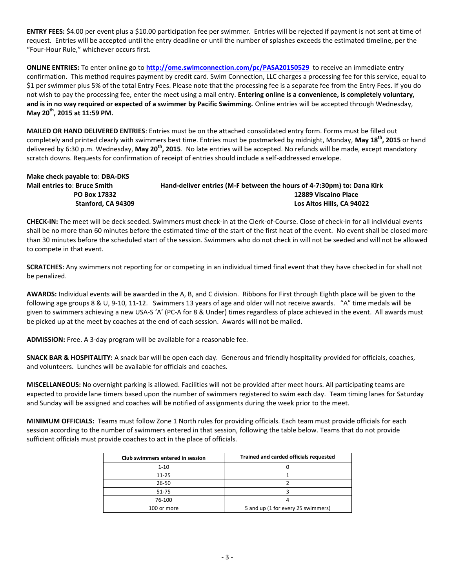**ENTRY FEES:** \$4.00 per event plus a \$10.00 participation fee per swimmer. Entries will be rejected if payment is not sent at time of request. Entries will be accepted until the entry deadline or until the number of splashes exceeds the estimated timeline, per the "Four-Hour Rule," whichever occurs first.

**ONLINE ENTRIES:** To enter online go to **<http://ome.swimconnection.com/pc/PASA20150529>** to receive an immediate entry confirmation. This method requires payment by credit card. Swim Connection, LLC charges a processing fee for this service, equal to \$1 per swimmer plus 5% of the total Entry Fees. Please note that the processing fee is a separate fee from the Entry Fees. If you do not wish to pay the processing fee, enter the meet using a mail entry. **Entering online is a convenience, is completely voluntary, and is in no way required or expected of a swimmer by Pacific Swimming.** Online entries will be accepted through Wednesday, **May 20th, 2015 at 11:59 PM.**

**MAILED OR HAND DELIVERED ENTRIES**: Entries must be on the attached consolidated entry form. Forms must be filled out completely and printed clearly with swimmers best time. Entries must be postmarked by midnight, Monday, **May 18th, 2015** or hand delivered by 6:30 p.m. Wednesday, **May 20th, 2015**. No late entries will be accepted. No refunds will be made, except mandatory scratch downs. Requests for confirmation of receipt of entries should include a self-addressed envelope.

**Make check payable to**: **DBA-DKS Mail entries to**: **Bruce Smith Hand-deliver entries (M-F between the hours of 4-7:30pm) to: Dana Kirk PO Box 17832** 12889 Viscaino Place  **Stanford, CA 94309 Los Altos Hills, CA 94022**

**CHECK-IN:** The meet will be deck seeded. Swimmers must check-in at the Clerk-of-Course. Close of check-in for all individual events shall be no more than 60 minutes before the estimated time of the start of the first heat of the event. No event shall be closed more than 30 minutes before the scheduled start of the session. Swimmers who do not check in will not be seeded and will not be allowed to compete in that event.

**SCRATCHES:** Any swimmers not reporting for or competing in an individual timed final event that they have checked in for shall not be penalized.

**AWARDS:** Individual events will be awarded in the A, B, and C division. Ribbons for First through Eighth place will be given to the following age groups 8 & U, 9-10, 11-12. Swimmers 13 years of age and older will not receive awards. "A" time medals will be given to swimmers achieving a new USA-S 'A' (PC-A for 8 & Under) times regardless of place achieved in the event. All awards must be picked up at the meet by coaches at the end of each session. Awards will not be mailed.

**ADMISSION:** Free. A 3-day program will be available for a reasonable fee.

**SNACK BAR & HOSPITALITY:** A snack bar will be open each day. Generous and friendly hospitality provided for officials, coaches, and volunteers. Lunches will be available for officials and coaches.

**MISCELLANEOUS:** No overnight parking is allowed. Facilities will not be provided after meet hours. All participating teams are expected to provide lane timers based upon the number of swimmers registered to swim each day. Team timing lanes for Saturday and Sunday will be assigned and coaches will be notified of assignments during the week prior to the meet.

**MINIMUM OFFICIALS:** Teams must follow Zone 1 North rules for providing officials. Each team must provide officials for each session according to the number of swimmers entered in that session, following the table below. Teams that do not provide sufficient officials must provide coaches to act in the place of officials.

| Club swimmers entered in session | Trained and carded officials requested |
|----------------------------------|----------------------------------------|
| $1 - 10$                         |                                        |
| $11 - 25$                        |                                        |
| $26 - 50$                        |                                        |
| 51-75                            |                                        |
| 76-100                           |                                        |
| 100 or more                      | 5 and up (1 for every 25 swimmers)     |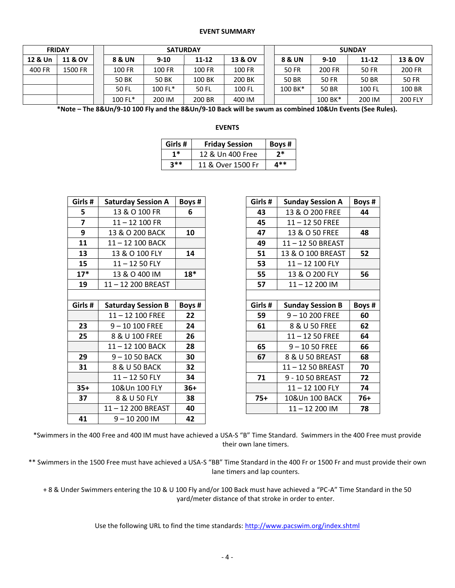#### **EVENT SUMMARY**

| <b>FRIDAY</b> |                    |  |              |           | <b>SATURDAY</b> |         |  | <b>SUNDAY</b> |          |        |                |  |  |
|---------------|--------------------|--|--------------|-----------|-----------------|---------|--|---------------|----------|--------|----------------|--|--|
| 12 & Un       | <b>11 &amp; OV</b> |  | 8 & UN       | $9 - 10$  | 11-12           | 13 & OV |  | 8 & UN        | $9 - 10$ | 11-12  | 13 & OV        |  |  |
| 400 FR        | 1500 FR            |  | 100 FR       | 100 FR    |                 | 100 FR  |  | <b>50 FR</b>  | 200 FR   | 50 FR  | 200 FR         |  |  |
|               |                    |  | <b>50 BK</b> | 50 BK     | 100 BK          | 200 BK  |  | 50 BR         | 50 FR    | 50 BR  | 50 FR          |  |  |
|               |                    |  | 50 FL        | $100$ FL* | 50 FL           | 100 FL  |  | $100 BK*$     | 50 BR    | 100 FL | 100 BR         |  |  |
|               |                    |  | 100 FL*      | 200 IM    | 200 BR          | 400 IM  |  |               | 100 BK*  | 200 IM | <b>200 FLY</b> |  |  |

**\*Note – The 8&Un/9-10 100 Fly and the 8&Un/9-10 Back will be swum as combined 10&Un Events (See Rules).**

#### **EVENTS**

| Girls# | <b>Friday Session</b> | Boys # $\vert$ |
|--------|-----------------------|----------------|
| $1*$   | 12 & Un 400 Free      | $2*$           |
| $3**$  | 11 & Over 1500 Fr     | 4**            |

| Girls #        | <b>Saturday Session A</b> | Boys # |
|----------------|---------------------------|--------|
| 5              | 13 & O 100 FR             | 6      |
| $\overline{7}$ | 11-12 100 FR              |        |
| 9              | 13 & O 200 BACK           | 10     |
| 11             | 11-12 100 BACK            |        |
| 13             | 13 & O 100 FLY            | 14     |
| 15             | $11 - 1250$ FLY           |        |
| $17*$          | 13 & O 400 IM             | $18*$  |
| 19             | 11-12 200 BREAST          |        |
|                |                           |        |
| Girls #        | <b>Saturday Session B</b> | Boys # |
|                |                           |        |
|                | 11-12 100 FREE            | 22     |
| 23             | 9-10 100 FREE             | 24     |
| 25             | 8 & U 100 FREE            | 26     |
|                | 11-12 100 BACK            | 28     |
| 29             | 9-1050 BACK               | 30     |
| 31             | 8 & U 50 BACK             | 32     |
|                | $11 - 1250$ FLY           | 34     |
| $35+$          | 10&Un 100 FLY             | $36+$  |
| 37             | 8 & U 50 FLY              | 38     |
|                | 11-12 200 BREAST          | 40     |

| Girls# | <b>Sunday Session A</b> | Boys# |
|--------|-------------------------|-------|
| 43     | 13 & O 200 FREE         | 44    |
| 45     | $11 - 1250$ FREE        |       |
| 47     | 13 & O 50 FREE          | 48    |
| 49     | 11-12 50 BREAST         |       |
| 51     | 13 & O 100 BREAST       | 52    |
| 53     | 11-12 100 FLY           |       |
| 55     | 13 & O 200 FLY          | 56    |
| 57     | 11-12 200 IM            |       |
|        |                         |       |
| Girls# | <b>Sunday Session B</b> | Boys# |
| 59     | 9-10 200 FREE           | 60    |
| 61     | 8 & U 50 FREE           | 62    |
|        | $11 - 1250$ FREE        | 64    |
| 65     | $9 - 1050$ FREE         | 66    |
| 67     | 8 & U 50 BREAST         | 68    |
|        | 11-12 50 BREAST         | 70    |
| 71     | 9 - 10 50 BREAST        | 72    |
|        | 11-12 100 FLY           | 74    |
| 75+    | 10&Un 100 BACK          | 76+   |
|        | 11-12 200 IM            | 78    |

\*Swimmers in the 400 Free and 400 IM must have achieved a USA-S "B" Time Standard. Swimmers in the 400 Free must provide their own lane timers.

\*\* Swimmers in the 1500 Free must have achieved a USA-S "BB" Time Standard in the 400 Fr or 1500 Fr and must provide their own lane timers and lap counters.

+ 8 & Under Swimmers entering the 10 & U 100 Fly and/or 100 Back must have achieved a "PC-A" Time Standard in the 50 yard/meter distance of that stroke in order to enter.

Use the following URL to find the time standards:<http://www.pacswim.org/index.shtml>